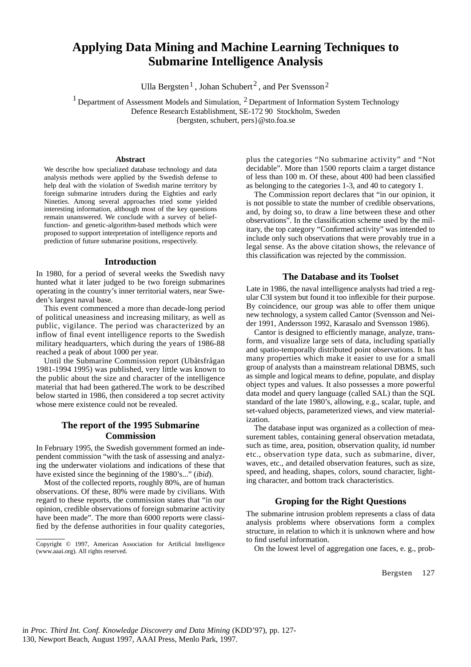# **Applying Data Mining and Machine Learning Techniques to Submarine Intelligence Analysis**

Ulla Bergsten<sup>1</sup>, Johan Schubert<sup>2</sup>, and Per Svensson<sup>2</sup>

<sup>1</sup> Department of Assessment Models and Simulation,  $2$  Department of Information System Technology

Defence Research Establishment, SE-172 90 Stockholm, Sweden

{bergsten, schubert, pers}@sto.foa.se

#### **Abstract**

We describe how specialized database technology and data analysis methods were applied by the Swedish defense to help deal with the violation of Swedish marine territory by foreign submarine intruders during the Eighties and early Nineties. Among several approaches tried some yielded interesting information, although most of the key questions remain unanswered. We conclude with a survey of belieffunction- and genetic-algorithm-based methods which were proposed to support interpretation of intelligence reports and prediction of future submarine positions, respectively.

#### **Introduction**

In 1980, for a period of several weeks the Swedish navy hunted what it later judged to be two foreign submarines operating in the country's inner territorial waters, near Sweden's largest naval base.

This event commenced a more than decade-long period of political uneasiness and increasing military, as well as public, vigilance. The period was characterized by an inflow of final event intelligence reports to the Swedish military headquarters, which during the years of 1986-88 reached a peak of about 1000 per year.

Until the Submarine Commission report (Ubåtsfrågan 1981-1994 1995) was published, very little was known to the public about the size and character of the intelligence material that had been gathered.The work to be described below started in 1986, then considered a top secret activity whose mere existence could not be revealed.

# **The report of the 1995 Submarine Commission**

In February 1995, the Swedish government formed an independent commission "with the task of assessing and analyzing the underwater violations and indications of these that have existed since the beginning of the 1980's..." (*ibid*).

Most of the collected reports, roughly 80%, are of human observations. Of these, 80% were made by civilians. With regard to these reports, the commission states that "in our opinion, credible observations of foreign submarine activity have been made". The more than 6000 reports were classified by the defense authorities in four quality categories,

plus the categories "No submarine activity" and "Not decidable". More than 1500 reports claim a target distance of less than 100 m. Of these, about 400 had been classified as belonging to the categories 1-3, and 40 to category 1.

The Commission report declares that "in our opinion, it is not possible to state the number of credible observations, and, by doing so, to draw a line between these and other observations". In the classification scheme used by the military, the top category "Confirmed activity" was intended to include only such observations that were provably true in a legal sense. As the above citation shows, the relevance of this classification was rejected by the commission.

## **The Database and its Toolset**

Late in 1986, the naval intelligence analysts had tried a regular C3I system but found it too inflexible for their purpose. By coincidence, our group was able to offer them unique new technology, a system called Cantor (Svensson and Neider 1991, Andersson 1992, Karasalo and Svensson 1986).

Cantor is designed to efficiently manage, analyze, transform, and visualize large sets of data, including spatially and spatio-temporally distributed point observations. It has many properties which make it easier to use for a small group of analysts than a mainstream relational DBMS, such as simple and logical means to define, populate, and display object types and values. It also possesses a more powerful data model and query language (called SAL) than the SQL standard of the late 1980's, allowing, e.g., scalar, tuple, and set-valued objects, parameterized views, and view materialization.

The database input was organized as a collection of measurement tables, containing general observation metadata, such as time, area, position, observation quality, id number etc., observation type data, such as submarine, diver, waves, etc., and detailed observation features, such as size, speed, and heading, shapes, colors, sound character, lighting character, and bottom track characteristics.

### **Groping for the Right Questions**

The submarine intrusion problem represents a class of data analysis problems where observations form a complex structure, in relation to which it is unknown where and how to find useful information.

On the lowest level of aggregation one faces, e. g., prob-

Bergsten 127

Copyright © 1997, American Association for Artificial Intelligence (www.aaai.org). All rights reserved.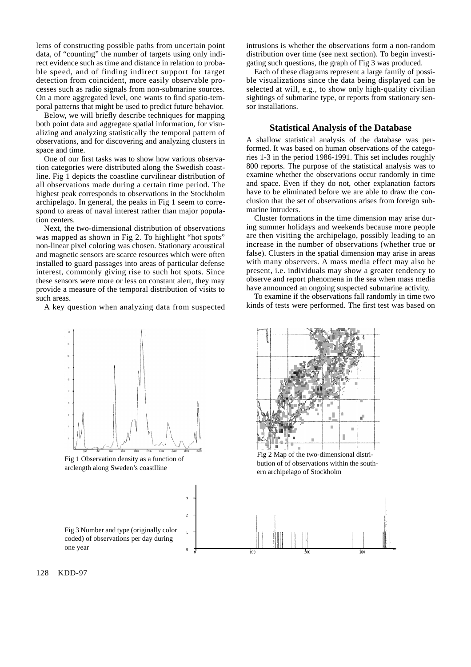lems of constructing possible paths from uncertain point data, of "counting" the number of targets using only indirect evidence such as time and distance in relation to probable speed, and of finding indirect support for target detection from coincident, more easily observable processes such as radio signals from non-submarine sources. On a more aggregated level, one wants to find spatio-temporal patterns that might be used to predict future behavior.

Below, we will briefly describe techniques for mapping both point data and aggregate spatial information, for visualizing and analyzing statistically the temporal pattern of observations, and for discovering and analyzing clusters in space and time.

One of our first tasks was to show how various observation categories were distributed along the Swedish coastline. Fig 1 depicts the coastline curvilinear distribution of all observations made during a certain time period. The highest peak corresponds to observations in the Stockholm archipelago. In general, the peaks in Fig 1 seem to correspond to areas of naval interest rather than major population centers.

Next, the two-dimensional distribution of observations was mapped as shown in Fig 2. To highlight "hot spots" non-linear pixel coloring was chosen. Stationary acoustical and magnetic sensors are scarce resources which were often installed to guard passages into areas of particular defense interest, commonly giving rise to such hot spots. Since these sensors were more or less on constant alert, they may provide a measure of the temporal distribution of visits to such areas.

A key question when analyzing data from suspected

intrusions is whether the observations form a non-random distribution over time (see next section). To begin investigating such questions, the graph of Fig 3 was produced.

Each of these diagrams represent a large family of possible visualizations since the data being displayed can be selected at will, e.g., to show only high-quality civilian sightings of submarine type, or reports from stationary sensor installations.

#### **Statistical Analysis of the Database**

A shallow statistical analysis of the database was performed. It was based on human observations of the categories 1-3 in the period 1986-1991. This set includes roughly 800 reports. The purpose of the statistical analysis was to examine whether the observations occur randomly in time and space. Even if they do not, other explanation factors have to be eliminated before we are able to draw the conclusion that the set of observations arises from foreign submarine intruders.

Cluster formations in the time dimension may arise during summer holidays and weekends because more people are then visiting the archipelago, possibly leading to an increase in the number of observations (whether true or false). Clusters in the spatial dimension may arise in areas with many observers. A mass media effect may also be present, i.e. individuals may show a greater tendency to observe and report phenomena in the sea when mass media have announced an ongoing suspected submarine activity.

To examine if the observations fall randomly in time two kinds of tests were performed. The first test was based on



Fig 1 Observation density as a function of arclength along Sweden's coastlline





Fig 2 Map of the two-dimensional distribution of of observations within the southern archipelago of Stockholm



128 KDD-97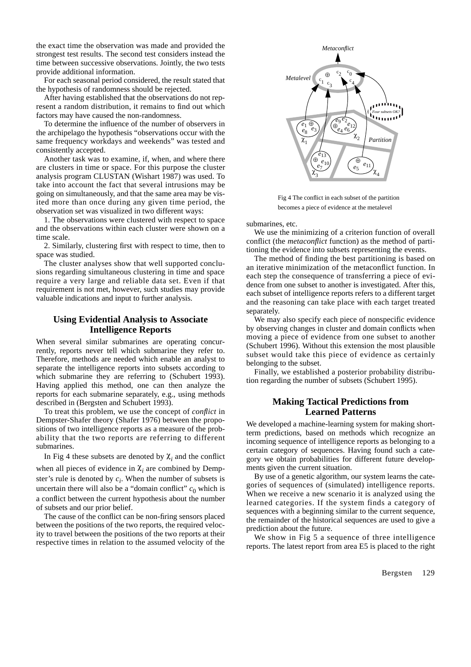the exact time the observation was made and provided the strongest test results. The second test considers instead the time between successive observations. Jointly, the two tests provide additional information.

For each seasonal period considered, the result stated that the hypothesis of randomness should be rejected.

After having established that the observations do not represent a random distribution, it remains to find out which factors may have caused the non-randomness.

To determine the influence of the number of observers in the archipelago the hypothesis "observations occur with the same frequency workdays and weekends" was tested and consistently accepted.

Another task was to examine, if, when, and where there are clusters in time or space. For this purpose the cluster analysis program CLUSTAN (Wishart 1987) was used. To take into account the fact that several intrusions may be going on simultaneously, and that the same area may be visited more than once during any given time period, the observation set was visualized in two different ways:

1. The observations were clustered with respect to space and the observations within each cluster were shown on a time scale.

2. Similarly, clustering first with respect to time, then to space was studied.

The cluster analyses show that well supported conclusions regarding simultaneous clustering in time and space require a very large and reliable data set. Even if that requirement is not met, however, such studies may provide valuable indications and input to further analysis.

## **Using Evidential Analysis to Associate Intelligence Reports**

When several similar submarines are operating concurrently, reports never tell which submarine they refer to. Therefore, methods are needed which enable an analyst to separate the intelligence reports into subsets according to which submarine they are referring to (Schubert 1993). Having applied this method, one can then analyze the reports for each submarine separately, e.g., using methods described in (Bergsten and Schubert 1993).

To treat this problem, we use the concept of *conflict* in Dempster-Shafer theory (Shafer 1976) between the propositions of two intelligence reports as a measure of the probability that the two reports are referring to different submarines.

In Fig 4 these subsets are denoted by  $\chi$ <sub>i</sub> and the conflict

when all pieces of evidence in  $\chi$ <sub>i</sub> are combined by Dempster's rule is denoted by  $c_i$ . When the number of subsets is uncertain there will also be a "domain conflict"  $c_0$  which is a conflict between the current hypothesis about the number of subsets and our prior belief.

The cause of the conflict can be non-firing sensors placed between the positions of the two reports, the required velocity to travel between the positions of the two reports at their respective times in relation to the assumed velocity of the



Fig 4 The conflict in each subset of the partition becomes a piece of evidence at the metalevel

submarines, etc.

We use the minimizing of a criterion function of overall conflict (the *metaconflict* function) as the method of partitioning the evidence into subsets representing the events.

The method of finding the best partitioning is based on an iterative minimization of the metaconflict function. In each step the consequence of transferring a piece of evidence from one subset to another is investigated. After this, each subset of intelligence reports refers to a different target and the reasoning can take place with each target treated separately.

We may also specify each piece of nonspecific evidence by observing changes in cluster and domain conflicts when moving a piece of evidence from one subset to another (Schubert 1996). Without this extension the most plausible subset would take this piece of evidence as certainly belonging to the subset.

Finally, we established a posterior probability distribution regarding the number of subsets (Schubert 1995).

# **Making Tactical Predictions from Learned Patterns**

We developed a machine-learning system for making shortterm predictions, based on methods which recognize an incoming sequence of intelligence reports as belonging to a certain category of sequences. Having found such a category we obtain probabilities for different future developments given the current situation.

By use of a genetic algorithm, our system learns the categories of sequences of (simulated) intelligence reports. When we receive a new scenario it is analyzed using the learned categories. If the system finds a category of sequences with a beginning similar to the current sequence, the remainder of the historical sequences are used to give a prediction about the future.

We show in Fig 5 a sequence of three intelligence reports. The latest report from area E5 is placed to the right